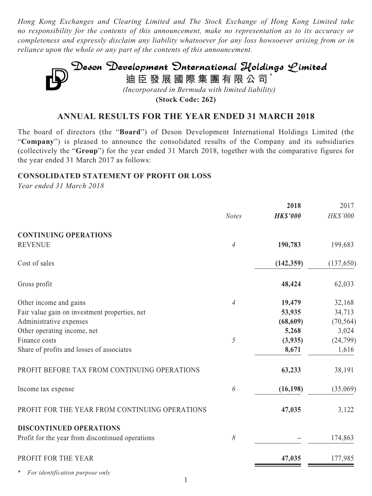*Hong Kong Exchanges and Clearing Limited and The Stock Exchange of Hong Kong Limited take no responsibility for the contents of this announcement, make no representation as to its accuracy or completeness and expressly disclaim any liability whatsoever for any loss howsoever arising from or in reliance upon the whole or any part of the contents of this announcement.*



**(Stock Code: 262)**

### **ANNUAL RESULTS FOR THE YEAR ENDED 31 MARCH 2018**

The board of directors (the "**Board**") of Deson Development International Holdings Limited (the "**Company**") is pleased to announce the consolidated results of the Company and its subsidiaries (collectively the "**Group**") for the year ended 31 March 2018, together with the comparative figures for the year ended 31 March 2017 as follows:

### **CONSOLIDATED STATEMENT OF PROFIT OR LOSS**

*Year ended 31 March 2018*

|                                                  |              | 2018            | 2017       |
|--------------------------------------------------|--------------|-----------------|------------|
|                                                  | <b>Notes</b> | <b>HK\$'000</b> | HK\$'000   |
| <b>CONTINUING OPERATIONS</b>                     |              |                 |            |
| <b>REVENUE</b>                                   | 4            | 190,783         | 199,683    |
| Cost of sales                                    |              | (142, 359)      | (137, 650) |
| Gross profit                                     |              | 48,424          | 62,033     |
| Other income and gains                           | 4            | 19,479          | 32,168     |
| Fair value gain on investment properties, net    |              | 53,935          | 34,713     |
| Administrative expenses                          |              | (68, 609)       | (70, 564)  |
| Other operating income, net                      |              | 5,268           | 3,024      |
| Finance costs                                    | 5            | (3,935)         | (24, 799)  |
| Share of profits and losses of associates        |              | 8,671           | 1,616      |
| PROFIT BEFORE TAX FROM CONTINUING OPERATIONS     |              | 63,233          | 38,191     |
| Income tax expense                               | 6            | (16, 198)       | (35,069)   |
| PROFIT FOR THE YEAR FROM CONTINUING OPERATIONS   |              | 47,035          | 3,122      |
| <b>DISCONTINUED OPERATIONS</b>                   |              |                 |            |
| Profit for the year from discontinued operations | 8            |                 | 174,863    |
| PROFIT FOR THE YEAR                              |              | 47,035          | 177,985    |
| ∗<br>For identification purpose only             |              |                 |            |

1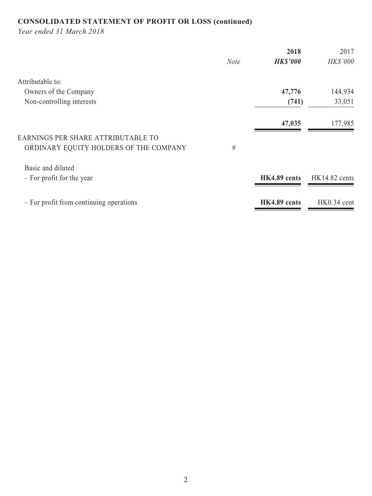# **CONSOLIDATED STATEMENT OF PROFIT OR LOSS (continued)**

*Year ended 31 March 2018*

|             | 2018            | 2017            |
|-------------|-----------------|-----------------|
| <b>Note</b> | <b>HK\$'000</b> | HK\$'000        |
|             |                 |                 |
|             | 47,776          | 144,934         |
|             | (741)           | 33,051          |
|             | 47,035          | 177,985         |
|             |                 |                 |
| 9           |                 |                 |
|             |                 |                 |
|             | HK4.89 cents    | $HK14.82$ cents |
|             | HK4.89 cents    | $HK0.34$ cent   |
|             |                 |                 |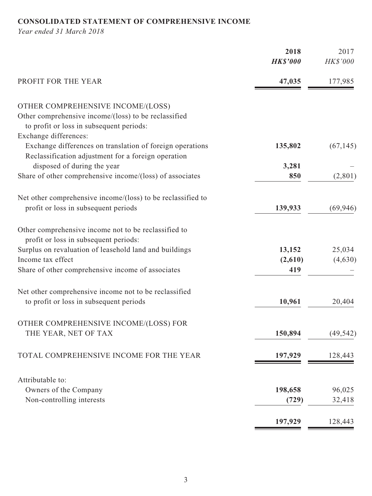# **CONSOLIDATED STATEMENT OF COMPREHENSIVE INCOME**

*Year ended 31 March 2018*

| <b>HK\$'000</b><br>PROFIT FOR THE YEAR<br>47,035<br>OTHER COMPREHENSIVE INCOME/(LOSS)<br>Other comprehensive income/(loss) to be reclassified<br>to profit or loss in subsequent periods: | HK\$'000<br>177,985<br>(67, 145) |
|-------------------------------------------------------------------------------------------------------------------------------------------------------------------------------------------|----------------------------------|
|                                                                                                                                                                                           |                                  |
|                                                                                                                                                                                           |                                  |
|                                                                                                                                                                                           |                                  |
|                                                                                                                                                                                           |                                  |
|                                                                                                                                                                                           |                                  |
| Exchange differences:                                                                                                                                                                     |                                  |
| Exchange differences on translation of foreign operations<br>135,802                                                                                                                      |                                  |
| Reclassification adjustment for a foreign operation                                                                                                                                       |                                  |
| disposed of during the year<br>3,281                                                                                                                                                      |                                  |
| Share of other comprehensive income/(loss) of associates<br>850                                                                                                                           | (2,801)                          |
| Net other comprehensive income/(loss) to be reclassified to                                                                                                                               |                                  |
| profit or loss in subsequent periods<br>139,933                                                                                                                                           | (69, 946)                        |
| Other comprehensive income not to be reclassified to                                                                                                                                      |                                  |
| profit or loss in subsequent periods:                                                                                                                                                     |                                  |
| Surplus on revaluation of leasehold land and buildings<br>13,152                                                                                                                          | 25,034                           |
| Income tax effect<br>(2,610)                                                                                                                                                              | (4,630)                          |
| Share of other comprehensive income of associates<br>419                                                                                                                                  |                                  |
| Net other comprehensive income not to be reclassified                                                                                                                                     |                                  |
| to profit or loss in subsequent periods<br>10,961                                                                                                                                         | 20,404                           |
| OTHER COMPREHENSIVE INCOME/(LOSS) FOR                                                                                                                                                     |                                  |
| 150,894<br>THE YEAR, NET OF TAX                                                                                                                                                           | (49, 542)                        |
| TOTAL COMPREHENSIVE INCOME FOR THE YEAR<br>197,929                                                                                                                                        | 128,443                          |
|                                                                                                                                                                                           |                                  |
| Attributable to:                                                                                                                                                                          |                                  |
| Owners of the Company<br>198,658                                                                                                                                                          | 96,025                           |
| Non-controlling interests<br>(729)                                                                                                                                                        | 32,418                           |
| 197,929                                                                                                                                                                                   | 128,443                          |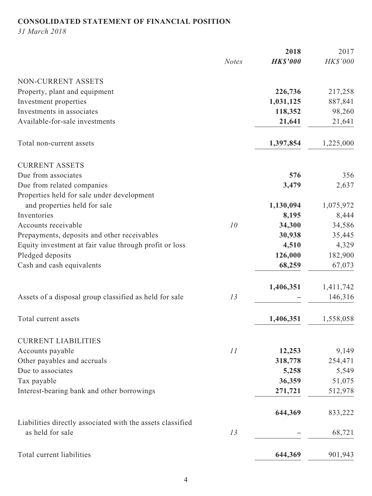# **CONSOLIDATED STATEMENT OF FINANCIAL POSITION**

*31 March 2018*

|                                                            |              | 2018            | 2017      |
|------------------------------------------------------------|--------------|-----------------|-----------|
|                                                            | <b>Notes</b> | <b>HK\$'000</b> | HK\$'000  |
| NON-CURRENT ASSETS                                         |              |                 |           |
| Property, plant and equipment                              |              | 226,736         | 217,258   |
| Investment properties                                      |              | 1,031,125       | 887,841   |
| Investments in associates                                  |              | 118,352         | 98,260    |
| Available-for-sale investments                             |              | 21,641          | 21,641    |
| Total non-current assets                                   |              | 1,397,854       | 1,225,000 |
| <b>CURRENT ASSETS</b>                                      |              |                 |           |
| Due from associates                                        |              | 576             | 356       |
| Due from related companies                                 |              | 3,479           | 2,637     |
| Properties held for sale under development                 |              |                 |           |
| and properties held for sale                               |              | 1,130,094       | 1,075,972 |
| Inventories                                                |              | 8,195           | 8,444     |
| Accounts receivable                                        | 10           | 34,300          | 34,586    |
| Prepayments, deposits and other receivables                |              | 30,938          | 35,445    |
| Equity investment at fair value through profit or loss     |              | 4,510           | 4,329     |
| Pledged deposits                                           |              | 126,000         | 182,900   |
| Cash and cash equivalents                                  |              | 68,259          | 67,073    |
|                                                            |              | 1,406,351       | 1,411,742 |
| Assets of a disposal group classified as held for sale     | 13           |                 | 146,316   |
| Total current assets                                       |              | 1,406,351       | 1,558,058 |
| <b>CURRENT LIABILITIES</b>                                 |              |                 |           |
| Accounts payable                                           | 11           | 12,253          | 9,149     |
| Other payables and accruals                                |              | 318,778         | 254,471   |
| Due to associates                                          |              | 5,258           | 5,549     |
| Tax payable                                                |              | 36,359          | 51,075    |
| Interest-bearing bank and other borrowings                 |              | 271,721         | 512,978   |
|                                                            |              | 644,369         | 833,222   |
| Liabilities directly associated with the assets classified |              |                 |           |
| as held for sale                                           | 13           |                 | 68,721    |
| Total current liabilities                                  |              | 644,369         | 901,943   |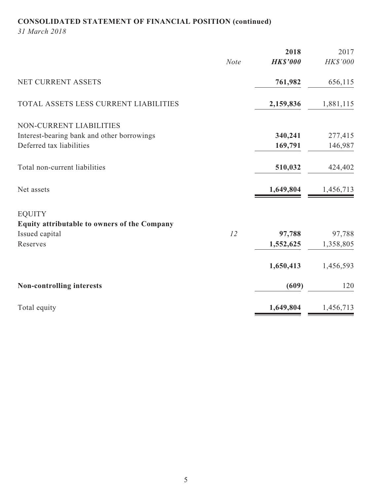# **CONSOLIDATED STATEMENT OF FINANCIAL POSITION (continued)**

*31 March 2018*

|                                              |             | 2018            | 2017      |
|----------------------------------------------|-------------|-----------------|-----------|
|                                              | <b>Note</b> | <b>HK\$'000</b> | HK\$'000  |
| NET CURRENT ASSETS                           |             | 761,982         | 656,115   |
| TOTAL ASSETS LESS CURRENT LIABILITIES        |             | 2,159,836       | 1,881,115 |
| NON-CURRENT LIABILITIES                      |             |                 |           |
| Interest-bearing bank and other borrowings   |             | 340,241         | 277,415   |
| Deferred tax liabilities                     |             | 169,791         | 146,987   |
| Total non-current liabilities                |             | 510,032         | 424,402   |
| Net assets                                   |             | 1,649,804       | 1,456,713 |
| <b>EQUITY</b>                                |             |                 |           |
| Equity attributable to owners of the Company |             |                 |           |
| Issued capital                               | 12          | 97,788          | 97,788    |
| Reserves                                     |             | 1,552,625       | 1,358,805 |
|                                              |             | 1,650,413       | 1,456,593 |
| Non-controlling interests                    |             | (609)           | 120       |
| Total equity                                 |             | 1,649,804       | 1,456,713 |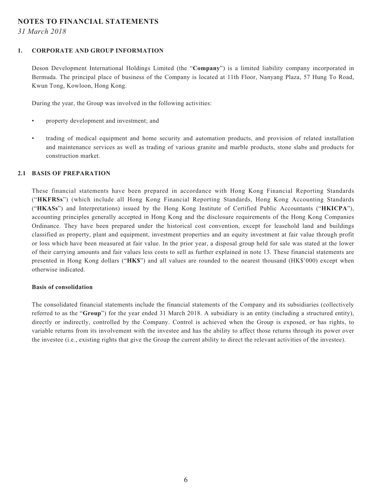### **NOTES TO FINANCIAL STATEMENTS**

*31 March 2018*

#### **1. CORPORATE AND GROUP INFORMATION**

Deson Development International Holdings Limited (the "**Company**") is a limited liability company incorporated in Bermuda. The principal place of business of the Company is located at 11th Floor, Nanyang Plaza, 57 Hung To Road, Kwun Tong, Kowloon, Hong Kong.

During the year, the Group was involved in the following activities:

- property development and investment; and
- trading of medical equipment and home security and automation products, and provision of related installation and maintenance services as well as trading of various granite and marble products, stone slabs and products for construction market.

#### **2.1 BASIS OF PREPARATION**

These financial statements have been prepared in accordance with Hong Kong Financial Reporting Standards ("**HKFRSs**") (which include all Hong Kong Financial Reporting Standards, Hong Kong Accounting Standards ("**HKASs**") and Interpretations) issued by the Hong Kong Institute of Certified Public Accountants ("**HKICPA**"), accounting principles generally accepted in Hong Kong and the disclosure requirements of the Hong Kong Companies Ordinance. They have been prepared under the historical cost convention, except for leasehold land and buildings classified as property, plant and equipment, investment properties and an equity investment at fair value through profit or loss which have been measured at fair value. In the prior year, a disposal group held for sale was stated at the lower of their carrying amounts and fair values less costs to sell as further explained in note 13. These financial statements are presented in Hong Kong dollars ("**HK\$**") and all values are rounded to the nearest thousand (HK\$'000) except when otherwise indicated.

#### **Basis of consolidation**

The consolidated financial statements include the financial statements of the Company and its subsidiaries (collectively referred to as the "**Group**") for the year ended 31 March 2018. A subsidiary is an entity (including a structured entity), directly or indirectly, controlled by the Company. Control is achieved when the Group is exposed, or has rights, to variable returns from its involvement with the investee and has the ability to affect those returns through its power over the investee (i.e., existing rights that give the Group the current ability to direct the relevant activities of the investee).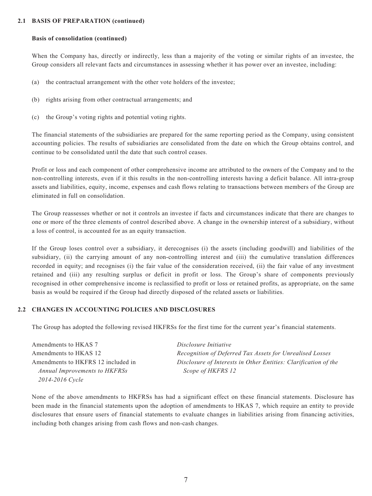#### **2.1 BASIS OF PREPARATION (continued)**

#### **Basis of consolidation (continued)**

When the Company has, directly or indirectly, less than a majority of the voting or similar rights of an investee, the Group considers all relevant facts and circumstances in assessing whether it has power over an investee, including:

- (a) the contractual arrangement with the other vote holders of the investee;
- (b) rights arising from other contractual arrangements; and
- (c) the Group's voting rights and potential voting rights.

The financial statements of the subsidiaries are prepared for the same reporting period as the Company, using consistent accounting policies. The results of subsidiaries are consolidated from the date on which the Group obtains control, and continue to be consolidated until the date that such control ceases.

Profit or loss and each component of other comprehensive income are attributed to the owners of the Company and to the non-controlling interests, even if it this results in the non-controlling interests having a deficit balance. All intra-group assets and liabilities, equity, income, expenses and cash flows relating to transactions between members of the Group are eliminated in full on consolidation.

The Group reassesses whether or not it controls an investee if facts and circumstances indicate that there are changes to one or more of the three elements of control described above. A change in the ownership interest of a subsidiary, without a loss of control, is accounted for as an equity transaction.

If the Group loses control over a subsidiary, it derecognises (i) the assets (including goodwill) and liabilities of the subsidiary, (ii) the carrying amount of any non-controlling interest and (iii) the cumulative translation differences recorded in equity; and recognises (i) the fair value of the consideration received, (ii) the fair value of any investment retained and (iii) any resulting surplus or deficit in profit or loss. The Group's share of components previously recognised in other comprehensive income is reclassified to profit or loss or retained profits, as appropriate, on the same basis as would be required if the Group had directly disposed of the related assets or liabilities.

#### **2.2 CHANGES IN ACCOUNTING POLICIES AND DISCLOSURES**

The Group has adopted the following revised HKFRSs for the first time for the current year's financial statements.

Amendments to HKAS 7 *Disclosure Initiative Annual Improvements to HKFRSs Scope of HKFRS 12 2014-2016 Cycle*

Amendments to HKAS 12 *Recognition of Deferred Tax Assets for Unrealised Losses* Amendments to HKFRS 12 included in *Disclosure of Interests in Other Entities: Clarification of the*

None of the above amendments to HKFRSs has had a significant effect on these financial statements. Disclosure has been made in the financial statements upon the adoption of amendments to HKAS 7, which require an entity to provide disclosures that ensure users of financial statements to evaluate changes in liabilities arising from financing activities, including both changes arising from cash flows and non-cash changes.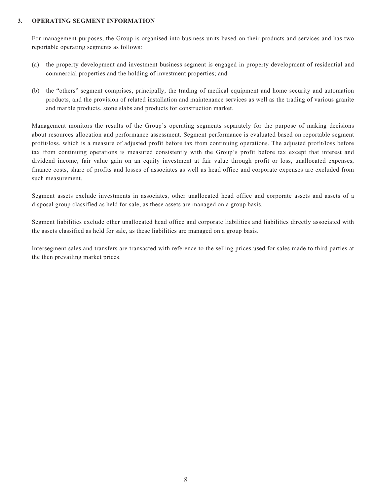#### **3. OPERATING SEGMENT INFORMATION**

For management purposes, the Group is organised into business units based on their products and services and has two reportable operating segments as follows:

- (a) the property development and investment business segment is engaged in property development of residential and commercial properties and the holding of investment properties; and
- (b) the "others" segment comprises, principally, the trading of medical equipment and home security and automation products, and the provision of related installation and maintenance services as well as the trading of various granite and marble products, stone slabs and products for construction market.

Management monitors the results of the Group's operating segments separately for the purpose of making decisions about resources allocation and performance assessment. Segment performance is evaluated based on reportable segment profit/loss, which is a measure of adjusted profit before tax from continuing operations. The adjusted profit/loss before tax from continuing operations is measured consistently with the Group's profit before tax except that interest and dividend income, fair value gain on an equity investment at fair value through profit or loss, unallocated expenses, finance costs, share of profits and losses of associates as well as head office and corporate expenses are excluded from such measurement.

Segment assets exclude investments in associates, other unallocated head office and corporate assets and assets of a disposal group classified as held for sale, as these assets are managed on a group basis.

Segment liabilities exclude other unallocated head office and corporate liabilities and liabilities directly associated with the assets classified as held for sale, as these liabilities are managed on a group basis.

Intersegment sales and transfers are transacted with reference to the selling prices used for sales made to third parties at the then prevailing market prices.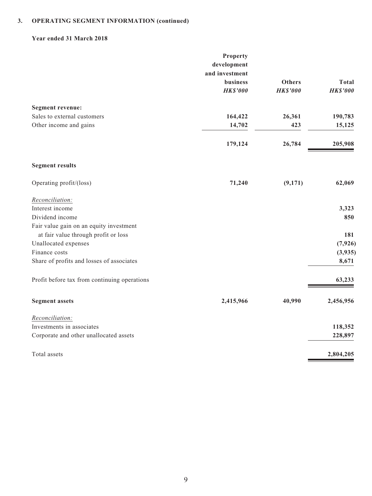### **Year ended 31 March 2018**

|                                              | Property        |                 |                 |
|----------------------------------------------|-----------------|-----------------|-----------------|
|                                              | development     |                 |                 |
|                                              | and investment  |                 |                 |
|                                              | <b>business</b> | <b>Others</b>   | <b>Total</b>    |
|                                              | <b>HK\$'000</b> | <b>HK\$'000</b> | <b>HK\$'000</b> |
| <b>Segment revenue:</b>                      |                 |                 |                 |
| Sales to external customers                  | 164,422         | 26,361          | 190,783         |
| Other income and gains                       | 14,702          | 423             | 15,125          |
|                                              | 179,124         | 26,784          | 205,908         |
| <b>Segment results</b>                       |                 |                 |                 |
| Operating profit/(loss)                      | 71,240          | (9,171)         | 62,069          |
| Reconciliation:                              |                 |                 |                 |
| Interest income                              |                 |                 | 3,323           |
| Dividend income                              |                 |                 | 850             |
| Fair value gain on an equity investment      |                 |                 |                 |
| at fair value through profit or loss         |                 |                 | 181             |
| Unallocated expenses                         |                 |                 | (7, 926)        |
| Finance costs                                |                 |                 | (3,935)         |
| Share of profits and losses of associates    |                 |                 | 8,671           |
| Profit before tax from continuing operations |                 |                 | 63,233          |
| <b>Segment assets</b>                        | 2,415,966       | 40,990          | 2,456,956       |
| Reconciliation:                              |                 |                 |                 |
| Investments in associates                    |                 |                 | 118,352         |
| Corporate and other unallocated assets       |                 |                 | 228,897         |
| Total assets                                 |                 |                 | 2,804,205       |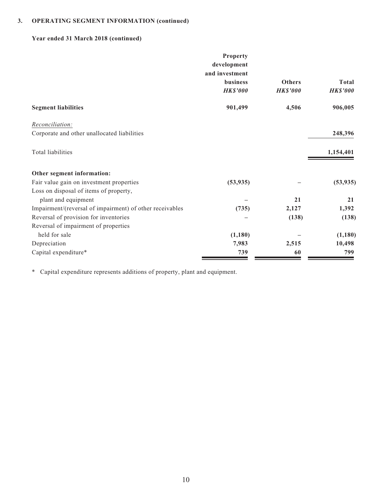## **Year ended 31 March 2018 (continued)**

|                                                          | <b>Property</b> |                 |                 |
|----------------------------------------------------------|-----------------|-----------------|-----------------|
|                                                          | development     |                 |                 |
|                                                          | and investment  |                 |                 |
|                                                          | business        | <b>Others</b>   | <b>Total</b>    |
|                                                          | <b>HK\$'000</b> | <b>HK\$'000</b> | <b>HK\$'000</b> |
| <b>Segment liabilities</b>                               | 901,499         | 4,506           | 906,005         |
| Reconciliation:                                          |                 |                 |                 |
| Corporate and other unallocated liabilities              |                 |                 | 248,396         |
| Total liabilities                                        |                 |                 | 1,154,401       |
| Other segment information:                               |                 |                 |                 |
| Fair value gain on investment properties                 | (53, 935)       |                 | (53, 935)       |
| Loss on disposal of items of property,                   |                 |                 |                 |
| plant and equipment                                      |                 | 21              | 21              |
| Impairment/(reversal of impairment) of other receivables | (735)           | 2,127           | 1,392           |
| Reversal of provision for inventories                    |                 | (138)           | (138)           |
| Reversal of impairment of properties                     |                 |                 |                 |
| held for sale                                            | (1,180)         |                 | (1, 180)        |
| Depreciation                                             | 7,983           | 2,515           | 10,498          |
| Capital expenditure*                                     | 739             | 60              | 799             |

\* Capital expenditure represents additions of property, plant and equipment.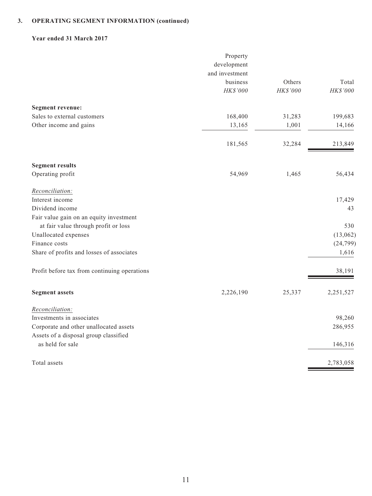### **Year ended 31 March 2017**

|                                              | Property<br>development |          |           |
|----------------------------------------------|-------------------------|----------|-----------|
|                                              | and investment          |          |           |
|                                              | business                | Others   | Total     |
|                                              | HK\$'000                | HK\$'000 | HK\$'000  |
| <b>Segment revenue:</b>                      |                         |          |           |
| Sales to external customers                  | 168,400                 | 31,283   | 199,683   |
| Other income and gains                       | 13,165                  | 1,001    | 14,166    |
|                                              |                         |          |           |
|                                              | 181,565                 | 32,284   | 213,849   |
| <b>Segment results</b>                       |                         |          |           |
| Operating profit                             | 54,969                  | 1,465    | 56,434    |
| Reconciliation:                              |                         |          |           |
| Interest income                              |                         |          | 17,429    |
| Dividend income                              |                         |          | 43        |
| Fair value gain on an equity investment      |                         |          |           |
| at fair value through profit or loss         |                         |          | 530       |
| Unallocated expenses                         |                         |          | (13,062)  |
| Finance costs                                |                         |          | (24, 799) |
| Share of profits and losses of associates    |                         |          | 1,616     |
| Profit before tax from continuing operations |                         |          | 38,191    |
| <b>Segment assets</b>                        | 2,226,190               | 25,337   | 2,251,527 |
| Reconciliation:                              |                         |          |           |
| Investments in associates                    |                         |          | 98,260    |
| Corporate and other unallocated assets       |                         |          | 286,955   |
| Assets of a disposal group classified        |                         |          |           |
| as held for sale                             |                         |          | 146,316   |
| Total assets                                 |                         |          | 2,783,058 |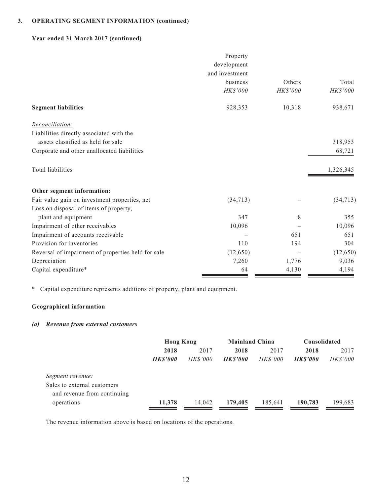### **Year ended 31 March 2017 (continued)**

|                                                    | Property        |                 |                 |
|----------------------------------------------------|-----------------|-----------------|-----------------|
|                                                    | development     |                 |                 |
|                                                    | and investment  |                 |                 |
|                                                    | business        | Others          | Total           |
|                                                    | <b>HK\$'000</b> | <b>HK\$'000</b> | <b>HK\$'000</b> |
| <b>Segment liabilities</b>                         | 928,353         | 10,318          | 938,671         |
| Reconciliation:                                    |                 |                 |                 |
| Liabilities directly associated with the           |                 |                 |                 |
| assets classified as held for sale                 |                 |                 | 318,953         |
| Corporate and other unallocated liabilities        |                 |                 | 68,721          |
| Total liabilities                                  |                 |                 | 1,326,345       |
| Other segment information:                         |                 |                 |                 |
| Fair value gain on investment properties, net      | (34, 713)       |                 | (34, 713)       |
| Loss on disposal of items of property,             |                 |                 |                 |
| plant and equipment                                | 347             | 8               | 355             |
| Impairment of other receivables                    | 10,096          |                 | 10,096          |
| Impairment of accounts receivable                  |                 | 651             | 651             |
| Provision for inventories                          | 110             | 194             | 304             |
| Reversal of impairment of properties held for sale | (12, 650)       |                 | (12, 650)       |
| Depreciation                                       | 7,260           | 1,776           | 9,036           |
| Capital expenditure*                               | 64              | 4,130           | 4,194           |

\* Capital expenditure represents additions of property, plant and equipment.

# **Geographical information**

### *(a) Revenue from external customers*

|                                                            | <b>Hong Kong</b> |                 | <b>Mainland China</b> |                 | Consolidated   |                 |
|------------------------------------------------------------|------------------|-----------------|-----------------------|-----------------|----------------|-----------------|
|                                                            | 2018             | 2017            | 2018                  | 2017            | 2018           | 2017            |
|                                                            | <b>HKS'000</b>   | <i>HK\$'000</i> | <b>HKS'000</b>        | <b>HK\$'000</b> | <b>HKS'000</b> | <b>HK\$'000</b> |
| Segment revenue:                                           |                  |                 |                       |                 |                |                 |
| Sales to external customers<br>and revenue from continuing |                  |                 |                       |                 |                |                 |
| operations                                                 | 11,378           | 14.042          | 179,405               | 185,641         | 190,783        | 199,683         |

The revenue information above is based on locations of the operations.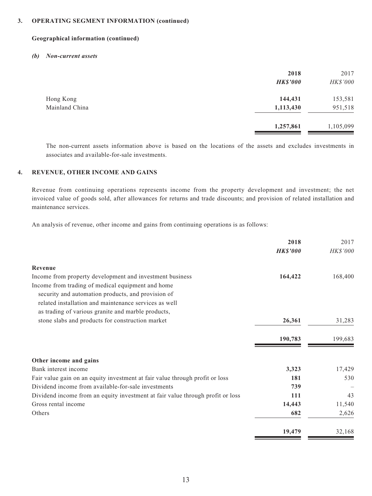#### **Geographical information (continued)**

#### *(b) Non-current assets*

|                | 2018<br><b>HK\$'000</b> | 2017<br>HK\$'000 |
|----------------|-------------------------|------------------|
| Hong Kong      | 144,431                 | 153,581          |
| Mainland China | 1,113,430               | 951,518          |
|                | 1,257,861               | 1,105,099        |

The non-current assets information above is based on the locations of the assets and excludes investments in associates and available-for-sale investments.

### **4. REVENUE, OTHER INCOME AND GAINS**

Revenue from continuing operations represents income from the property development and investment; the net invoiced value of goods sold, after allowances for returns and trade discounts; and provision of related installation and maintenance services.

An analysis of revenue, other income and gains from continuing operations is as follows:

|                                                                                | 2018            | 2017     |
|--------------------------------------------------------------------------------|-----------------|----------|
|                                                                                | <b>HK\$'000</b> | HK\$'000 |
| Revenue                                                                        |                 |          |
| Income from property development and investment business                       | 164,422         | 168,400  |
| Income from trading of medical equipment and home                              |                 |          |
| security and automation products, and provision of                             |                 |          |
| related installation and maintenance services as well                          |                 |          |
| as trading of various granite and marble products,                             |                 |          |
| stone slabs and products for construction market                               | 26,361          | 31,283   |
|                                                                                | 190,783         | 199,683  |
| Other income and gains                                                         |                 |          |
| Bank interest income                                                           | 3,323           | 17,429   |
| Fair value gain on an equity investment at fair value through profit or loss   | 181             | 530      |
| Dividend income from available-for-sale investments                            | 739             |          |
| Dividend income from an equity investment at fair value through profit or loss | 111             | 43       |
| Gross rental income                                                            | 14,443          | 11,540   |
| Others                                                                         | 682             | 2,626    |
|                                                                                | 19,479          | 32,168   |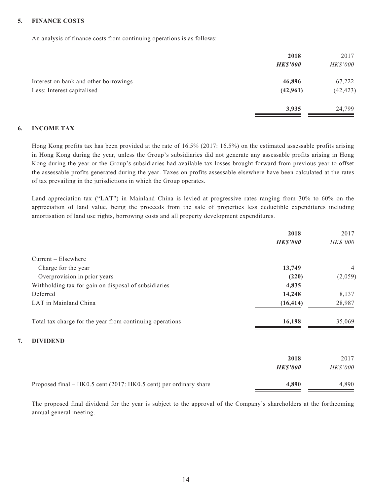### **5. FINANCE COSTS**

An analysis of finance costs from continuing operations is as follows:

|                                       | 2018            | 2017      |
|---------------------------------------|-----------------|-----------|
|                                       | <b>HK\$'000</b> | HK\$'000  |
| Interest on bank and other borrowings | 46,896          | 67,222    |
| Less: Interest capitalised            | (42,961)        | (42, 423) |
|                                       | 3,935           | 24,799    |

#### **6. INCOME TAX**

Hong Kong profits tax has been provided at the rate of 16.5% (2017: 16.5%) on the estimated assessable profits arising in Hong Kong during the year, unless the Group's subsidiaries did not generate any assessable profits arising in Hong Kong during the year or the Group's subsidiaries had available tax losses brought forward from previous year to offset the assessable profits generated during the year. Taxes on profits assessable elsewhere have been calculated at the rates of tax prevailing in the jurisdictions in which the Group operates.

Land appreciation tax ("**LAT**") in Mainland China is levied at progressive rates ranging from 30% to 60% on the appreciation of land value, being the proceeds from the sale of properties less deductible expenditures including amortisation of land use rights, borrowing costs and all property development expenditures.

|                                                                   | 2018            | 2017           |
|-------------------------------------------------------------------|-----------------|----------------|
|                                                                   | <b>HK\$'000</b> | HK\$'000       |
| $Current - Elsewhere$                                             |                 |                |
| Charge for the year                                               | 13,749          | $\overline{4}$ |
| Overprovision in prior years                                      | (220)           | (2,059)        |
| Withholding tax for gain on disposal of subsidiaries              | 4,835           |                |
| Deferred                                                          | 14,248          | 8,137          |
| LAT in Mainland China                                             | (16, 414)       | 28,987         |
| Total tax charge for the year from continuing operations          | 16,198          | 35,069         |
| <b>DIVIDEND</b><br>7.                                             |                 |                |
|                                                                   | 2018            | 2017           |
|                                                                   | <b>HK\$'000</b> | HK\$'000       |
| Proposed final – HK0.5 cent (2017: HK0.5 cent) per ordinary share | 4,890           | 4,890          |

The proposed final dividend for the year is subject to the approval of the Company's shareholders at the forthcoming annual general meeting.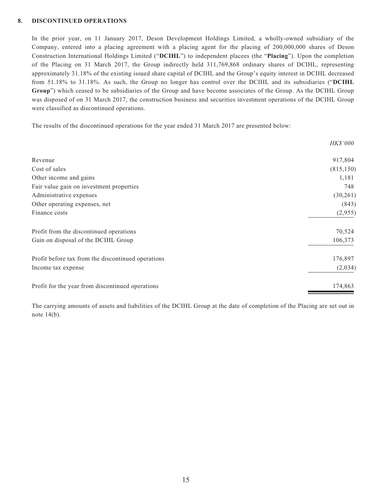#### **8. DISCONTINUED OPERATIONS**

In the prior year, on 11 January 2017, Deson Development Holdings Limited, a wholly-owned subsidiary of the Company, entered into a placing agreement with a placing agent for the placing of 200,000,000 shares of Deson Construction International Holdings Limited ("**DCIHL**") to independent placees (the "**Placing**"). Upon the completion of the Placing on 31 March 2017, the Group indirectly held 311,769,868 ordinary shares of DCIHL, representing approximately 31.18% of the existing issued share capital of DCIHL and the Group's equity interest in DCIHL decreased from 51.18% to 31.18%. As such, the Group no longer has control over the DCIHL and its subsidiaries ("**DCIHL Group**") which ceased to be subsidiaries of the Group and have become associates of the Group. As the DCIHL Group was disposed of on 31 March 2017, the construction business and securities investment operations of the DCIHL Group were classified as discontinued operations.

The results of the discontinued operations for the year ended 31 March 2017 are presented below:

|                                                    | <i>HK\$'000</i> |
|----------------------------------------------------|-----------------|
| Revenue                                            | 917,804         |
| Cost of sales                                      | (815, 150)      |
| Other income and gains                             | 1,181           |
| Fair value gain on investment properties           | 748             |
| Administrative expenses                            | (30,261)        |
| Other operating expenses, net                      | (843)           |
| Finance costs                                      | (2,955)         |
| Profit from the discontinued operations            | 70,524          |
| Gain on disposal of the DCIHL Group                | 106,373         |
| Profit before tax from the discontinued operations | 176,897         |
| Income tax expense                                 | (2,034)         |
| Profit for the year from discontinued operations   | 174,863         |

The carrying amounts of assets and liabilities of the DCIHL Group at the date of completion of the Placing are set out in note 14(b).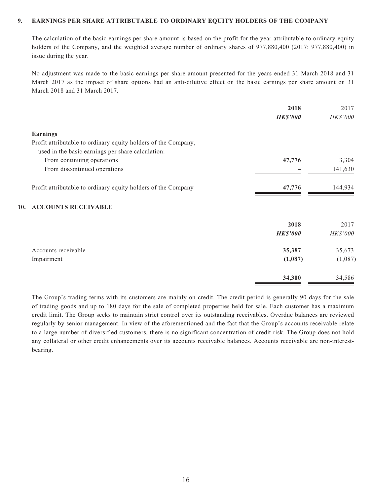#### **9. EARNINGS PER SHARE ATTRIBUTABLE TO ORDINARY EQUITY HOLDERS OF THE COMPANY**

The calculation of the basic earnings per share amount is based on the profit for the year attributable to ordinary equity holders of the Company, and the weighted average number of ordinary shares of 977,880,400 (2017: 977,880,400) in issue during the year.

No adjustment was made to the basic earnings per share amount presented for the years ended 31 March 2018 and 31 March 2017 as the impact of share options had an anti-dilutive effect on the basic earnings per share amount on 31 March 2018 and 31 March 2017.

|                                                                | 2018            | 2017     |
|----------------------------------------------------------------|-----------------|----------|
|                                                                | <b>HK\$'000</b> | HK\$'000 |
| <b>Earnings</b>                                                |                 |          |
| Profit attributable to ordinary equity holders of the Company, |                 |          |
| used in the basic earnings per share calculation:              |                 |          |
| From continuing operations                                     | 47,776          | 3,304    |
| From discontinued operations                                   |                 | 141,630  |
| Profit attributable to ordinary equity holders of the Company  | 47,776          | 144,934  |
| <b>ACCOUNTS RECEIVABLE</b><br>10.                              |                 |          |
|                                                                | 2018            | 2017     |
|                                                                | <b>HK\$'000</b> | HK\$'000 |
| Accounts receivable                                            | 35,387          | 35,673   |
| Impairment                                                     | (1,087)         | (1,087)  |
|                                                                | 34,300          | 34,586   |

The Group's trading terms with its customers are mainly on credit. The credit period is generally 90 days for the sale of trading goods and up to 180 days for the sale of completed properties held for sale. Each customer has a maximum credit limit. The Group seeks to maintain strict control over its outstanding receivables. Overdue balances are reviewed regularly by senior management. In view of the aforementioned and the fact that the Group's accounts receivable relate to a large number of diversified customers, there is no significant concentration of credit risk. The Group does not hold any collateral or other credit enhancements over its accounts receivable balances. Accounts receivable are non-interestbearing.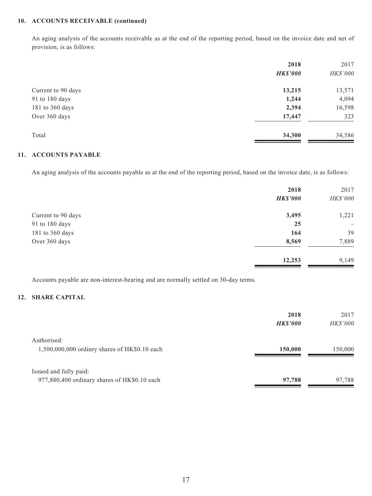## **10. ACCOUNTS RECEIVABLE (continued)**

An aging analysis of the accounts receivable as at the end of the reporting period, based on the invoice date and net of provision, is as follows:

|                    | 2018            | 2017     |
|--------------------|-----------------|----------|
|                    | <b>HK\$'000</b> | HK\$'000 |
| Current to 90 days | 13,215          | 13,571   |
| 91 to 180 days     | 1,244           | 4,094    |
| 181 to 360 days    | 2,394           | 16,598   |
| Over 360 days      | 17,447          | 323      |
| Total              | 34,300          | 34,586   |

### **11. ACCOUNTS PAYABLE**

An aging analysis of the accounts payable as at the end of the reporting period, based on the invoice date, is as follows:

|                    | 2018            | 2017                     |
|--------------------|-----------------|--------------------------|
|                    | <b>HK\$'000</b> | HK\$'000                 |
| Current to 90 days | 3,495           | 1,221                    |
| 91 to 180 days     | 25              | $\overline{\phantom{0}}$ |
| 181 to 360 days    | 164             | 39                       |
| Over 360 days      | 8,569           | 7,889                    |
|                    | 12,253          | 9,149                    |

Accounts payable are non-interest-bearing and are normally settled on 30-day terms.

### **12. SHARE CAPITAL**

|                                                                        | 2018<br><b>HKS'000</b> | 2017<br><b>HK\$'000</b> |
|------------------------------------------------------------------------|------------------------|-------------------------|
| Authorised:<br>1,500,000,000 ordinry shares of HK\$0.10 each           | 150,000                | 150,000                 |
| Issued and fully paid:<br>977,880,400 ordinary shares of HK\$0.10 each | 97,788                 | 97,788                  |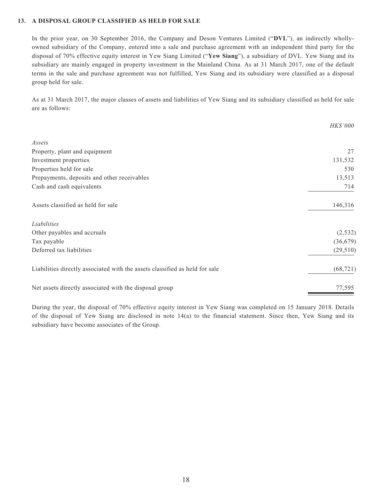### **13. A DISPOSAL GROUP CLASSIFIED AS HELD FOR SALE**

In the prior year, on 30 September 2016, the Company and Deson Ventures Limited ("**DVL**"), an indirectly whollyowned subsidiary of the Company, entered into a sale and purchase agreement with an independent third party for the disposal of 70% effective equity interest in Yew Siang Limited ("**Yew Siang**"), a subsidiary of DVL. Yew Siang and its subsidiary are mainly engaged in property investment in the Mainland China. As at 31 March 2017, one of the default terms in the sale and purchase agreement was not fulfilled, Yew Siang and its subsidiary were classified as a disposal group held for sale.

As at 31 March 2017, the major classes of assets and liabilities of Yew Siang and its subsidiary classified as held for sale are as follows:

|                                                                             | <b>HK\$'000</b> |
|-----------------------------------------------------------------------------|-----------------|
| Assets                                                                      |                 |
| Property, plant and equipment                                               | 27              |
| Investment properties                                                       | 131,532         |
| Properties held for sale                                                    | 530             |
| Prepayments, deposits and other receivables                                 | 13,513          |
| Cash and cash equivalents                                                   | 714             |
| Assets classified as held for sale                                          | 146,316         |
| Liabilities                                                                 |                 |
| Other payables and accruals                                                 | (2, 532)        |
| Tax payable                                                                 | (36, 679)       |
| Deferred tax liabilities                                                    | (29, 510)       |
| Liabilities directly associated with the assets classified as held for sale | (68, 721)       |
| Net assets directly associated with the disposal group                      | 77,595          |

During the year, the disposal of 70% effective equity interest in Yew Siang was completed on 15 January 2018. Details of the disposal of Yew Siang are disclosed in note 14(a) to the financial statement. Since then, Yew Siang and its subsidiary have become associates of the Group.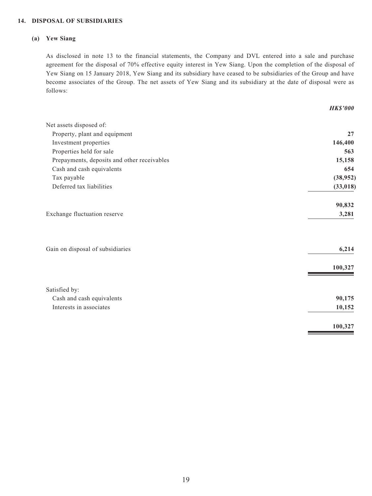#### **14. DISPOSAL OF SUBSIDIARIES**

#### **(a) Yew Siang**

As disclosed in note 13 to the financial statements, the Company and DVL entered into a sale and purchase agreement for the disposal of 70% effective equity interest in Yew Siang. Upon the completion of the disposal of Yew Siang on 15 January 2018, Yew Siang and its subsidiary have ceased to be subsidiaries of the Group and have become associates of the Group. The net assets of Yew Siang and its subsidiary at the date of disposal were as follows:

|                                             | <b>HK\$'000</b> |
|---------------------------------------------|-----------------|
| Net assets disposed of:                     |                 |
| Property, plant and equipment               | 27              |
| Investment properties                       | 146,400         |
| Properties held for sale                    | 563             |
| Prepayments, deposits and other receivables | 15,158          |
| Cash and cash equivalents                   | 654             |
| Tax payable                                 | (38,952)        |
| Deferred tax liabilities                    | (33, 018)       |
|                                             | 90,832          |
| Exchange fluctuation reserve                | 3,281           |
| Gain on disposal of subsidiaries            | 6,214           |
|                                             | 100,327         |
|                                             |                 |
| Satisfied by:                               |                 |
| Cash and cash equivalents                   | 90,175          |
| Interests in associates                     | 10,152          |
|                                             | 100,327         |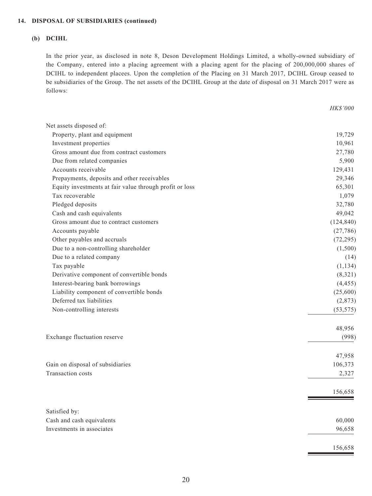#### **14. DISPOSAL OF SUBSIDIARIES (continued)**

#### **(b) DCIHL**

In the prior year, as disclosed in note 8, Deson Development Holdings Limited, a wholly-owned subsidiary of the Company, entered into a placing agreement with a placing agent for the placing of 200,000,000 shares of DCIHL to independent placees. Upon the completion of the Placing on 31 March 2017, DCIHL Group ceased to be subsidiaries of the Group. The net assets of the DCIHL Group at the date of disposal on 31 March 2017 were as follows:

*HK\$'000*

| Net assets disposed of:                                 |            |
|---------------------------------------------------------|------------|
| Property, plant and equipment                           | 19,729     |
| Investment properties                                   | 10,961     |
| Gross amount due from contract customers                | 27,780     |
| Due from related companies                              | 5,900      |
| Accounts receivable                                     | 129,431    |
| Prepayments, deposits and other receivables             | 29,346     |
| Equity investments at fair value through profit or loss | 65,301     |
| Tax recoverable                                         | 1,079      |
| Pledged deposits                                        | 32,780     |
| Cash and cash equivalents                               | 49,042     |
| Gross amount due to contract customers                  | (124, 840) |
| Accounts payable                                        | (27, 786)  |
| Other payables and accruals                             | (72, 295)  |
| Due to a non-controlling shareholder                    | (1,500)    |
| Due to a related company                                | (14)       |
| Tax payable                                             | (1, 134)   |
| Derivative component of convertible bonds               | (8,321)    |
| Interest-bearing bank borrowings                        | (4, 455)   |
| Liability component of convertible bonds                | (25,600)   |
| Deferred tax liabilities                                | (2,873)    |
| Non-controlling interests                               | (53, 575)  |
|                                                         | 48,956     |
| Exchange fluctuation reserve                            | (998)      |
|                                                         | 47,958     |
| Gain on disposal of subsidiaries                        | 106,373    |
| Transaction costs                                       | 2,327      |
|                                                         | 156,658    |
| Satisfied by:                                           |            |
| Cash and cash equivalents                               | 60,000     |
| Investments in associates                               | 96,658     |
|                                                         | 156,658    |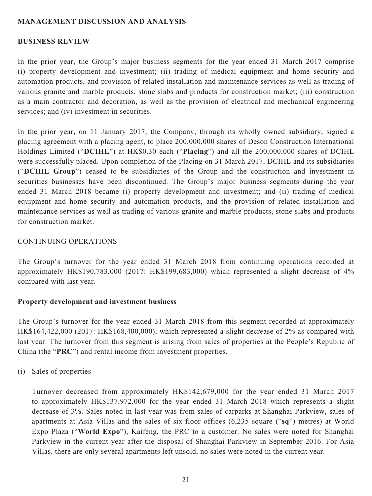### **MANAGEMENT DISCUSSION AND ANALYSIS**

### **BUSINESS REVIEW**

In the prior year, the Group's major business segments for the year ended 31 March 2017 comprise (i) property development and investment; (ii) trading of medical equipment and home security and automation products, and provision of related installation and maintenance services as well as trading of various granite and marble products, stone slabs and products for construction market; (iii) construction as a main contractor and decoration, as well as the provision of electrical and mechanical engineering services; and (iv) investment in securities.

In the prior year, on 11 January 2017, the Company, through its wholly owned subsidiary, signed a placing agreement with a placing agent, to place 200,000,000 shares of Deson Construction International Holdings Limited ("**DCIHL**") at HK\$0.30 each ("**Placing**") and all the 200,000,000 shares of DCIHL were successfully placed. Upon completion of the Placing on 31 March 2017, DCIHL and its subsidiaries ("**DCIHL Group**") ceased to be subsidiaries of the Group and the construction and investment in securities businesses have been discontinued. The Group's major business segments during the year ended 31 March 2018 became (i) property development and investment; and (ii) trading of medical equipment and home security and automation products, and the provision of related installation and maintenance services as well as trading of various granite and marble products, stone slabs and products for construction market.

### CONTINUING OPERATIONS

The Group's turnover for the year ended 31 March 2018 from continuing operations recorded at approximately HK\$190,783,000 (2017: HK\$199,683,000) which represented a slight decrease of 4% compared with last year.

### **Property development and investment business**

The Group's turnover for the year ended 31 March 2018 from this segment recorded at approximately HK\$164,422,000 (2017: HK\$168,400,000), which represented a slight decrease of 2% as compared with last year. The turnover from this segment is arising from sales of properties at the People's Republic of China (the "**PRC**") and rental income from investment properties.

(i) Sales of properties

Turnover decreased from approximately HK\$142,679,000 for the year ended 31 March 2017 to approximately HK\$137,972,000 for the year ended 31 March 2018 which represents a slight decrease of 3%. Sales noted in last year was from sales of carparks at Shanghai Parkview, sales of apartments at Asia Villas and the sales of six-floor offices (6,235 square ("**sq**") metres) at World Expo Plaza ("**World Expo**"), Kaifeng, the PRC to a customer. No sales were noted for Shanghai Parkview in the current year after the disposal of Shanghai Parkview in September 2016. For Asia Villas, there are only several apartments left unsold, no sales were noted in the current year.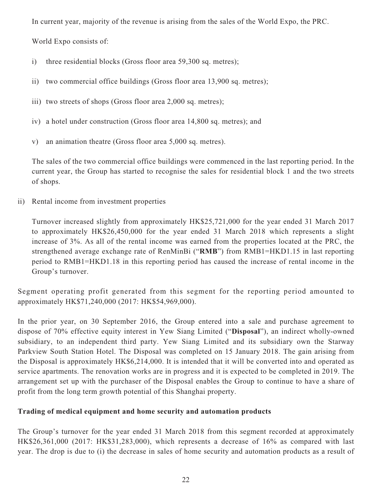In current year, majority of the revenue is arising from the sales of the World Expo, the PRC.

World Expo consists of:

- i) three residential blocks (Gross floor area 59,300 sq. metres);
- ii) two commercial office buildings (Gross floor area 13,900 sq. metres);
- iii) two streets of shops (Gross floor area 2,000 sq. metres);
- iv) a hotel under construction (Gross floor area 14,800 sq. metres); and
- v) an animation theatre (Gross floor area 5,000 sq. metres).

The sales of the two commercial office buildings were commenced in the last reporting period. In the current year, the Group has started to recognise the sales for residential block 1 and the two streets of shops.

ii) Rental income from investment properties

Turnover increased slightly from approximately HK\$25,721,000 for the year ended 31 March 2017 to approximately HK\$26,450,000 for the year ended 31 March 2018 which represents a slight increase of 3%. As all of the rental income was earned from the properties located at the PRC, the strengthened average exchange rate of RenMinBi ("**RMB**") from RMB1=HKD1.15 in last reporting period to RMB1=HKD1.18 in this reporting period has caused the increase of rental income in the Group's turnover.

Segment operating profit generated from this segment for the reporting period amounted to approximately HK\$71,240,000 (2017: HK\$54,969,000).

In the prior year, on 30 September 2016, the Group entered into a sale and purchase agreement to dispose of 70% effective equity interest in Yew Siang Limited ("**Disposal**"), an indirect wholly-owned subsidiary, to an independent third party. Yew Siang Limited and its subsidiary own the Starway Parkview South Station Hotel. The Disposal was completed on 15 January 2018. The gain arising from the Disposal is approximately HK\$6,214,000. It is intended that it will be converted into and operated as service apartments. The renovation works are in progress and it is expected to be completed in 2019. The arrangement set up with the purchaser of the Disposal enables the Group to continue to have a share of profit from the long term growth potential of this Shanghai property.

### **Trading of medical equipment and home security and automation products**

The Group's turnover for the year ended 31 March 2018 from this segment recorded at approximately HK\$26,361,000 (2017: HK\$31,283,000), which represents a decrease of 16% as compared with last year. The drop is due to (i) the decrease in sales of home security and automation products as a result of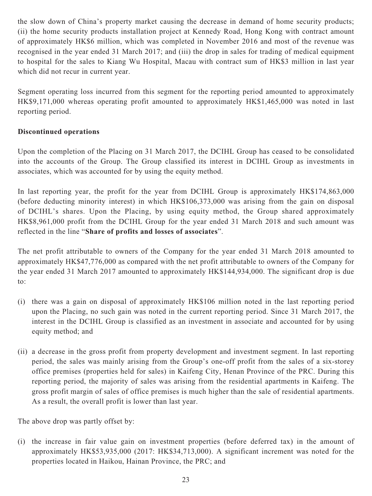the slow down of China's property market causing the decrease in demand of home security products; (ii) the home security products installation project at Kennedy Road, Hong Kong with contract amount of approximately HK\$6 million, which was completed in November 2016 and most of the revenue was recognised in the year ended 31 March 2017; and (iii) the drop in sales for trading of medical equipment to hospital for the sales to Kiang Wu Hospital, Macau with contract sum of HK\$3 million in last year which did not recur in current year.

Segment operating loss incurred from this segment for the reporting period amounted to approximately HK\$9,171,000 whereas operating profit amounted to approximately HK\$1,465,000 was noted in last reporting period.

## **Discontinued operations**

Upon the completion of the Placing on 31 March 2017, the DCIHL Group has ceased to be consolidated into the accounts of the Group. The Group classified its interest in DCIHL Group as investments in associates, which was accounted for by using the equity method.

In last reporting year, the profit for the year from DCIHL Group is approximately HK\$174,863,000 (before deducting minority interest) in which HK\$106,373,000 was arising from the gain on disposal of DCIHL's shares. Upon the Placing, by using equity method, the Group shared approximately HK\$8,961,000 profit from the DCIHL Group for the year ended 31 March 2018 and such amount was reflected in the line "**Share of profits and losses of associates**".

The net profit attributable to owners of the Company for the year ended 31 March 2018 amounted to approximately HK\$47,776,000 as compared with the net profit attributable to owners of the Company for the year ended 31 March 2017 amounted to approximately HK\$144,934,000. The significant drop is due to:

- (i) there was a gain on disposal of approximately HK\$106 million noted in the last reporting period upon the Placing, no such gain was noted in the current reporting period. Since 31 March 2017, the interest in the DCIHL Group is classified as an investment in associate and accounted for by using equity method; and
- (ii) a decrease in the gross profit from property development and investment segment. In last reporting period, the sales was mainly arising from the Group's one-off profit from the sales of a six-storey office premises (properties held for sales) in Kaifeng City, Henan Province of the PRC. During this reporting period, the majority of sales was arising from the residential apartments in Kaifeng. The gross profit margin of sales of office premises is much higher than the sale of residential apartments. As a result, the overall profit is lower than last year.

The above drop was partly offset by:

(i) the increase in fair value gain on investment properties (before deferred tax) in the amount of approximately HK\$53,935,000 (2017: HK\$34,713,000). A significant increment was noted for the properties located in Haikou, Hainan Province, the PRC; and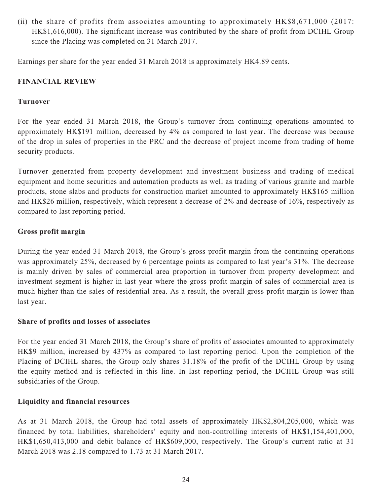(ii) the share of profits from associates amounting to approximately HK\$8,671,000 (2017: HK\$1,616,000). The significant increase was contributed by the share of profit from DCIHL Group since the Placing was completed on 31 March 2017.

Earnings per share for the year ended 31 March 2018 is approximately HK4.89 cents.

### **FINANCIAL REVIEW**

### **Turnover**

For the year ended 31 March 2018, the Group's turnover from continuing operations amounted to approximately HK\$191 million, decreased by 4% as compared to last year. The decrease was because of the drop in sales of properties in the PRC and the decrease of project income from trading of home security products.

Turnover generated from property development and investment business and trading of medical equipment and home securities and automation products as well as trading of various granite and marble products, stone slabs and products for construction market amounted to approximately HK\$165 million and HK\$26 million, respectively, which represent a decrease of 2% and decrease of 16%, respectively as compared to last reporting period.

### **Gross profit margin**

During the year ended 31 March 2018, the Group's gross profit margin from the continuing operations was approximately 25%, decreased by 6 percentage points as compared to last year's 31%. The decrease is mainly driven by sales of commercial area proportion in turnover from property development and investment segment is higher in last year where the gross profit margin of sales of commercial area is much higher than the sales of residential area. As a result, the overall gross profit margin is lower than last year.

### **Share of profits and losses of associates**

For the year ended 31 March 2018, the Group's share of profits of associates amounted to approximately HK\$9 million, increased by 437% as compared to last reporting period. Upon the completion of the Placing of DCIHL shares, the Group only shares 31.18% of the profit of the DCIHL Group by using the equity method and is reflected in this line. In last reporting period, the DCIHL Group was still subsidiaries of the Group.

### **Liquidity and financial resources**

As at 31 March 2018, the Group had total assets of approximately HK\$2,804,205,000, which was financed by total liabilities, shareholders' equity and non-controlling interests of HK\$1,154,401,000, HK\$1,650,413,000 and debit balance of HK\$609,000, respectively. The Group's current ratio at 31 March 2018 was 2.18 compared to 1.73 at 31 March 2017.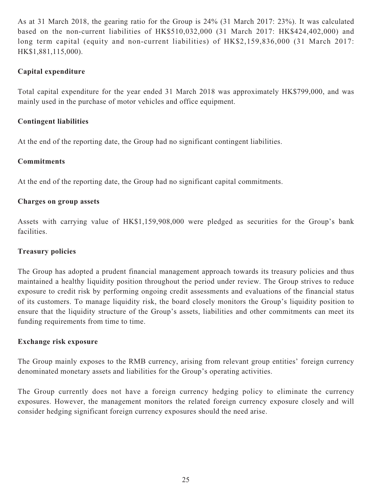As at 31 March 2018, the gearing ratio for the Group is 24% (31 March 2017: 23%). It was calculated based on the non-current liabilities of HK\$510,032,000 (31 March 2017: HK\$424,402,000) and long term capital (equity and non-current liabilities) of HK\$2,159,836,000 (31 March 2017: HK\$1,881,115,000).

# **Capital expenditure**

Total capital expenditure for the year ended 31 March 2018 was approximately HK\$799,000, and was mainly used in the purchase of motor vehicles and office equipment.

### **Contingent liabilities**

At the end of the reporting date, the Group had no significant contingent liabilities.

### **Commitments**

At the end of the reporting date, the Group had no significant capital commitments.

### **Charges on group assets**

Assets with carrying value of HK\$1,159,908,000 were pledged as securities for the Group's bank facilities.

### **Treasury policies**

The Group has adopted a prudent financial management approach towards its treasury policies and thus maintained a healthy liquidity position throughout the period under review. The Group strives to reduce exposure to credit risk by performing ongoing credit assessments and evaluations of the financial status of its customers. To manage liquidity risk, the board closely monitors the Group's liquidity position to ensure that the liquidity structure of the Group's assets, liabilities and other commitments can meet its funding requirements from time to time.

### **Exchange risk exposure**

The Group mainly exposes to the RMB currency, arising from relevant group entities' foreign currency denominated monetary assets and liabilities for the Group's operating activities.

The Group currently does not have a foreign currency hedging policy to eliminate the currency exposures. However, the management monitors the related foreign currency exposure closely and will consider hedging significant foreign currency exposures should the need arise.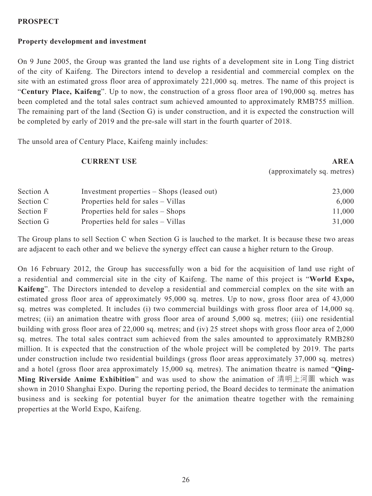### **PROSPECT**

# **Property development and investment**

On 9 June 2005, the Group was granted the land use rights of a development site in Long Ting district of the city of Kaifeng. The Directors intend to develop a residential and commercial complex on the site with an estimated gross floor area of approximately 221,000 sq. metres. The name of this project is "**Century Place, Kaifeng**". Up to now, the construction of a gross floor area of 190,000 sq. metres has been completed and the total sales contract sum achieved amounted to approximately RMB755 million. The remaining part of the land (Section G) is under construction, and it is expected the construction will be completed by early of 2019 and the pre-sale will start in the fourth quarter of 2018.

The unsold area of Century Place, Kaifeng mainly includes:

|           | <b>CURRENT USE</b>                         | <b>AREA</b>                |
|-----------|--------------------------------------------|----------------------------|
|           |                                            | (approximately sq. metres) |
| Section A | Investment properties – Shops (leased out) | 23,000                     |
| Section C | Properties held for sales – Villas         | 6,000                      |
| Section F | Properties held for sales – Shops          | 11,000                     |
| Section G | Properties held for sales – Villas         | 31,000                     |

The Group plans to sell Section C when Section G is lauched to the market. It is because these two areas are adjacent to each other and we believe the synergy effect can cause a higher return to the Group.

On 16 February 2012, the Group has successfully won a bid for the acquisition of land use right of a residential and commercial site in the city of Kaifeng. The name of this project is "**World Expo, Kaifeng**". The Directors intended to develop a residential and commercial complex on the site with an estimated gross floor area of approximately 95,000 sq. metres. Up to now, gross floor area of 43,000 sq. metres was completed. It includes (i) two commercial buildings with gross floor area of 14,000 sq. metres; (ii) an animation theatre with gross floor area of around 5,000 sq. metres; (iii) one residential building with gross floor area of 22,000 sq. metres; and (iv) 25 street shops with gross floor area of 2,000 sq. metres. The total sales contract sum achieved from the sales amounted to approximately RMB280 million. It is expected that the construction of the whole project will be completed by 2019. The parts under construction include two residential buildings (gross floor areas approximately 37,000 sq. metres) and a hotel (gross floor area approximately 15,000 sq. metres). The animation theatre is named "**Qing-Ming Riverside Anime Exhibition**" and was used to show the animation of 清明上河圖 which was shown in 2010 Shanghai Expo. During the reporting period, the Board decides to terminate the animation business and is seeking for potential buyer for the animation theatre together with the remaining properties at the World Expo, Kaifeng.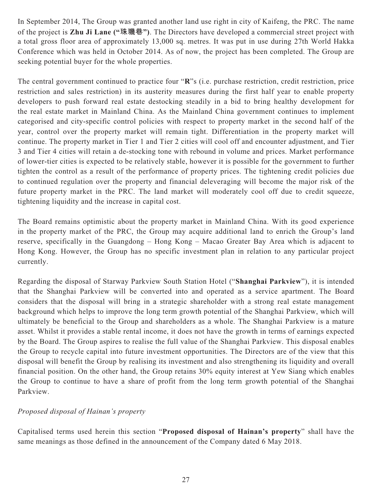In September 2014, The Group was granted another land use right in city of Kaifeng, the PRC. The name of the project is **Zhu Ji Lane ("珠璣巷")**. The Directors have developed a commercial street project with a total gross floor area of approximately 13,000 sq. metres. It was put in use during 27th World Hakka Conference which was held in October 2014. As of now, the project has been completed. The Group are seeking potential buyer for the whole properties.

The central government continued to practice four "**R**"s (i.e. purchase restriction, credit restriction, price restriction and sales restriction) in its austerity measures during the first half year to enable property developers to push forward real estate destocking steadily in a bid to bring healthy development for the real estate market in Mainland China. As the Mainland China government continues to implement categorised and city-specific control policies with respect to property market in the second half of the year, control over the property market will remain tight. Differentiation in the property market will continue. The property market in Tier 1 and Tier 2 cities will cool off and encounter adjustment, and Tier 3 and Tier 4 cities will retain a de-stocking tone with rebound in volume and prices. Market performance of lower-tier cities is expected to be relatively stable, however it is possible for the government to further tighten the control as a result of the performance of property prices. The tightening credit policies due to continued regulation over the property and financial deleveraging will become the major risk of the future property market in the PRC. The land market will moderately cool off due to credit squeeze, tightening liquidity and the increase in capital cost.

The Board remains optimistic about the property market in Mainland China. With its good experience in the property market of the PRC, the Group may acquire additional land to enrich the Group's land reserve, specifically in the Guangdong – Hong Kong – Macao Greater Bay Area which is adjacent to Hong Kong. However, the Group has no specific investment plan in relation to any particular project currently.

Regarding the disposal of Starway Parkview South Station Hotel ("**Shanghai Parkview**"), it is intended that the Shanghai Parkview will be converted into and operated as a service apartment. The Board considers that the disposal will bring in a strategic shareholder with a strong real estate management background which helps to improve the long term growth potential of the Shanghai Parkview, which will ultimately be beneficial to the Group and shareholders as a whole. The Shanghai Parkview is a mature asset. Whilst it provides a stable rental income, it does not have the growth in terms of earnings expected by the Board. The Group aspires to realise the full value of the Shanghai Parkview. This disposal enables the Group to recycle capital into future investment opportunities. The Directors are of the view that this disposal will benefit the Group by realising its investment and also strengthening its liquidity and overall financial position. On the other hand, the Group retains 30% equity interest at Yew Siang which enables the Group to continue to have a share of profit from the long term growth potential of the Shanghai Parkview.

# *Proposed disposal of Hainan's property*

Capitalised terms used herein this section "**Proposed disposal of Hainan's property**" shall have the same meanings as those defined in the announcement of the Company dated 6 May 2018.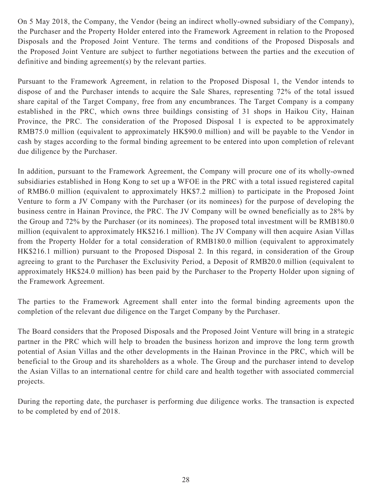On 5 May 2018, the Company, the Vendor (being an indirect wholly-owned subsidiary of the Company), the Purchaser and the Property Holder entered into the Framework Agreement in relation to the Proposed Disposals and the Proposed Joint Venture. The terms and conditions of the Proposed Disposals and the Proposed Joint Venture are subject to further negotiations between the parties and the execution of definitive and binding agreement(s) by the relevant parties.

Pursuant to the Framework Agreement, in relation to the Proposed Disposal 1, the Vendor intends to dispose of and the Purchaser intends to acquire the Sale Shares, representing 72% of the total issued share capital of the Target Company, free from any encumbrances. The Target Company is a company established in the PRC, which owns three buildings consisting of 31 shops in Haikou City, Hainan Province, the PRC. The consideration of the Proposed Disposal 1 is expected to be approximately RMB75.0 million (equivalent to approximately HK\$90.0 million) and will be payable to the Vendor in cash by stages according to the formal binding agreement to be entered into upon completion of relevant due diligence by the Purchaser.

In addition, pursuant to the Framework Agreement, the Company will procure one of its wholly-owned subsidiaries established in Hong Kong to set up a WFOE in the PRC with a total issued registered capital of RMB6.0 million (equivalent to approximately HK\$7.2 million) to participate in the Proposed Joint Venture to form a JV Company with the Purchaser (or its nominees) for the purpose of developing the business centre in Hainan Province, the PRC. The JV Company will be owned beneficially as to 28% by the Group and 72% by the Purchaser (or its nominees). The proposed total investment will be RMB180.0 million (equivalent to approximately HK\$216.1 million). The JV Company will then acquire Asian Villas from the Property Holder for a total consideration of RMB180.0 million (equivalent to approximately HK\$216.1 million) pursuant to the Proposed Disposal 2. In this regard, in consideration of the Group agreeing to grant to the Purchaser the Exclusivity Period, a Deposit of RMB20.0 million (equivalent to approximately HK\$24.0 million) has been paid by the Purchaser to the Property Holder upon signing of the Framework Agreement.

The parties to the Framework Agreement shall enter into the formal binding agreements upon the completion of the relevant due diligence on the Target Company by the Purchaser.

The Board considers that the Proposed Disposals and the Proposed Joint Venture will bring in a strategic partner in the PRC which will help to broaden the business horizon and improve the long term growth potential of Asian Villas and the other developments in the Hainan Province in the PRC, which will be beneficial to the Group and its shareholders as a whole. The Group and the purchaser intend to develop the Asian Villas to an international centre for child care and health together with associated commercial projects.

During the reporting date, the purchaser is performing due diligence works. The transaction is expected to be completed by end of 2018.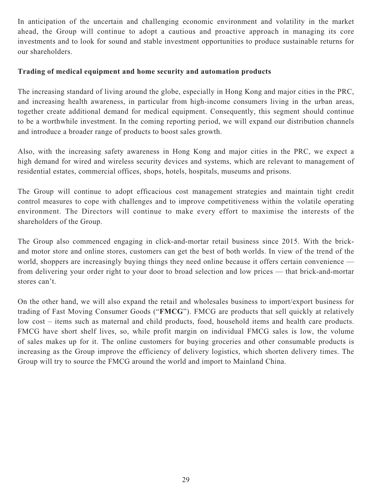In anticipation of the uncertain and challenging economic environment and volatility in the market ahead, the Group will continue to adopt a cautious and proactive approach in managing its core investments and to look for sound and stable investment opportunities to produce sustainable returns for our shareholders.

### **Trading of medical equipment and home security and automation products**

The increasing standard of living around the globe, especially in Hong Kong and major cities in the PRC, and increasing health awareness, in particular from high-income consumers living in the urban areas, together create additional demand for medical equipment. Consequently, this segment should continue to be a worthwhile investment. In the coming reporting period, we will expand our distribution channels and introduce a broader range of products to boost sales growth.

Also, with the increasing safety awareness in Hong Kong and major cities in the PRC, we expect a high demand for wired and wireless security devices and systems, which are relevant to management of residential estates, commercial offices, shops, hotels, hospitals, museums and prisons.

The Group will continue to adopt efficacious cost management strategies and maintain tight credit control measures to cope with challenges and to improve competitiveness within the volatile operating environment. The Directors will continue to make every effort to maximise the interests of the shareholders of the Group.

The Group also commenced engaging in click-and-mortar retail business since 2015. With the brickand motor store and online stores, customers can get the best of both worlds. In view of the trend of the world, shoppers are increasingly buying things they need online because it offers certain convenience from delivering your order right to your door to broad selection and low prices — that brick-and-mortar stores can't.

On the other hand, we will also expand the retail and wholesales business to import/export business for trading of Fast Moving Consumer Goods ("**FMCG**"). FMCG are products that sell quickly at relatively low cost – items such as maternal and child products, food, household items and health care products. FMCG have short shelf lives, so, while profit margin on individual FMCG sales is low, the volume of sales makes up for it. The online customers for buying groceries and other consumable products is increasing as the Group improve the efficiency of delivery logistics, which shorten delivery times. The Group will try to source the FMCG around the world and import to Mainland China.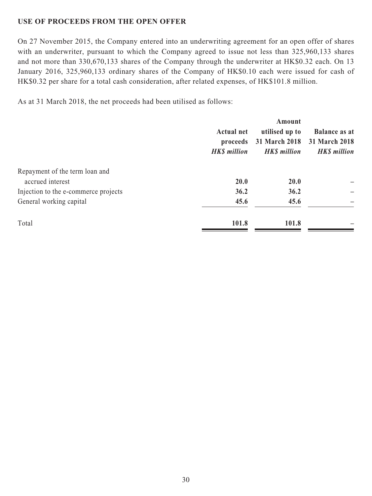# **USE OF PROCEEDS FROM THE OPEN OFFER**

On 27 November 2015, the Company entered into an underwriting agreement for an open offer of shares with an underwriter, pursuant to which the Company agreed to issue not less than 325,960,133 shares and not more than 330,670,133 shares of the Company through the underwriter at HK\$0.32 each. On 13 January 2016, 325,960,133 ordinary shares of the Company of HK\$0.10 each were issued for cash of HK\$0.32 per share for a total cash consideration, after related expenses, of HK\$101.8 million.

As at 31 March 2018, the net proceeds had been utilised as follows:

|                     | Amount             |                      |
|---------------------|--------------------|----------------------|
| <b>Actual net</b>   | utilised up to     | <b>Balance as at</b> |
| proceeds            | 31 March 2018      | 31 March 2018        |
| <b>HK\$</b> million | <b>HKS</b> million | <b>HK\$</b> million  |
|                     |                    |                      |
| <b>20.0</b>         | <b>20.0</b>        |                      |
| 36.2                | 36.2               |                      |
| 45.6                | 45.6               |                      |
| 101.8               | 101.8              |                      |
|                     |                    |                      |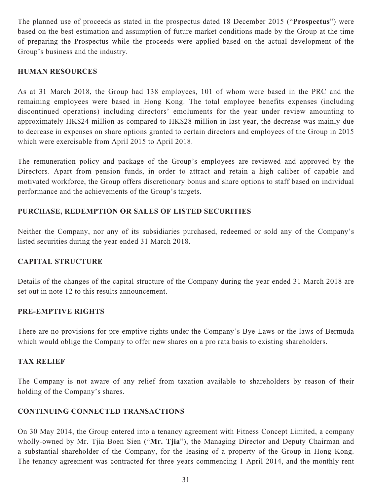The planned use of proceeds as stated in the prospectus dated 18 December 2015 ("**Prospectus**") were based on the best estimation and assumption of future market conditions made by the Group at the time of preparing the Prospectus while the proceeds were applied based on the actual development of the Group's business and the industry.

### **HUMAN RESOURCES**

As at 31 March 2018, the Group had 138 employees, 101 of whom were based in the PRC and the remaining employees were based in Hong Kong. The total employee benefits expenses (including discontinued operations) including directors' emoluments for the year under review amounting to approximately HK\$24 million as compared to HK\$28 million in last year, the decrease was mainly due to decrease in expenses on share options granted to certain directors and employees of the Group in 2015 which were exercisable from April 2015 to April 2018.

The remuneration policy and package of the Group's employees are reviewed and approved by the Directors. Apart from pension funds, in order to attract and retain a high caliber of capable and motivated workforce, the Group offers discretionary bonus and share options to staff based on individual performance and the achievements of the Group's targets.

## **PURCHASE, REDEMPTION OR SALES OF LISTED SECURITIES**

Neither the Company, nor any of its subsidiaries purchased, redeemed or sold any of the Company's listed securities during the year ended 31 March 2018.

### **CAPITAL STRUCTURE**

Details of the changes of the capital structure of the Company during the year ended 31 March 2018 are set out in note 12 to this results announcement.

### **PRE-EMPTIVE RIGHTS**

There are no provisions for pre-emptive rights under the Company's Bye-Laws or the laws of Bermuda which would oblige the Company to offer new shares on a pro rata basis to existing shareholders.

### **TAX RELIEF**

The Company is not aware of any relief from taxation available to shareholders by reason of their holding of the Company's shares.

# **CONTINUING CONNECTED TRANSACTIONS**

On 30 May 2014, the Group entered into a tenancy agreement with Fitness Concept Limited, a company wholly-owned by Mr. Tjia Boen Sien ("**Mr. Tjia**"), the Managing Director and Deputy Chairman and a substantial shareholder of the Company, for the leasing of a property of the Group in Hong Kong. The tenancy agreement was contracted for three years commencing 1 April 2014, and the monthly rent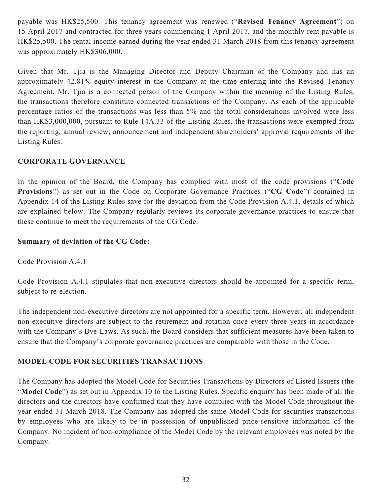payable was HK\$25,500. This tenancy agreement was renewed ("**Revised Tenancy Agreement**") on 15 April 2017 and contracted for three years commencing 1 April 2017, and the monthly rent payable is HK\$25,500. The rental income earned during the year ended 31 March 2018 from this tenancy agreement was approximately HK\$306,000.

Given that Mr. Tjia is the Managing Director and Deputy Chairman of the Company and has an approximately 42.81% equity interest in the Company at the time entering into the Revised Tenancy Agreement, Mr. Tjia is a connected person of the Company within the meaning of the Listing Rules, the transactions therefore constitute connected transactions of the Company. As each of the applicable percentage ratios of the transactions was less than 5% and the total considerations involved were less than HK\$3,000,000, pursuant to Rule 14A.33 of the Listing Rules, the transactions were exempted from the reporting, annual review, announcement and independent shareholders' approval requirements of the Listing Rules.

# **CORPORATE GOVERNANCE**

In the opinion of the Board, the Company has complied with most of the code provisions ("**Code Provisions**") as set out in the Code on Corporate Governance Practices ("**CG Code**") contained in Appendix 14 of the Listing Rules save for the deviation from the Code Provision A.4.1, details of which are explained below. The Company regularly reviews its corporate governance practices to ensure that these continue to meet the requirements of the CG Code.

# **Summary of deviation of the CG Code:**

Code Provision A.4.1

Code Provision A.4.1 stipulates that non-executive directors should be appointed for a specific term, subject to re-election.

The independent non-executive directors are not appointed for a specific term. However, all independent non-executive directors are subject to the retirement and rotation once every three years in accordance with the Company's Bye-Laws. As such, the Board considers that sufficient measures have been taken to ensure that the Company's corporate governance practices are comparable with those in the Code.

# **MODEL CODE FOR SECURITIES TRANSACTIONS**

The Company has adopted the Model Code for Securities Transactions by Directors of Listed Issuers (the "**Model Code**") as set out in Appendix 10 to the Listing Rules. Specific enquiry has been made of all the directors and the directors have confirmed that they have complied with the Model Code throughout the year ended 31 March 2018. The Company has adopted the same Model Code for securities transactions by employees who are likely to be in possession of unpublished price-sensitive information of the Company. No incident of non-compliance of the Model Code by the relevant employees was noted by the Company.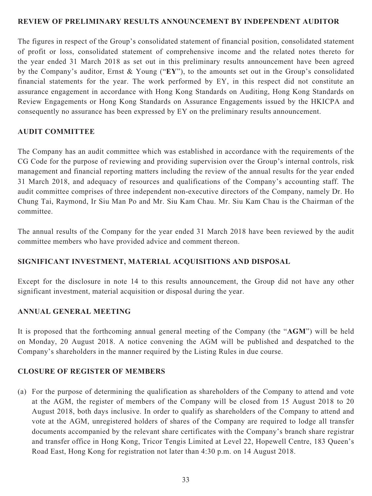### **REVIEW OF PRELIMINARY RESULTS ANNOUNCEMENT BY INDEPENDENT AUDITOR**

The figures in respect of the Group's consolidated statement of financial position, consolidated statement of profit or loss, consolidated statement of comprehensive income and the related notes thereto for the year ended 31 March 2018 as set out in this preliminary results announcement have been agreed by the Company's auditor, Ernst & Young ("**EY**"), to the amounts set out in the Group's consolidated financial statements for the year. The work performed by EY, in this respect did not constitute an assurance engagement in accordance with Hong Kong Standards on Auditing, Hong Kong Standards on Review Engagements or Hong Kong Standards on Assurance Engagements issued by the HKICPA and consequently no assurance has been expressed by EY on the preliminary results announcement.

### **AUDIT COMMITTEE**

The Company has an audit committee which was established in accordance with the requirements of the CG Code for the purpose of reviewing and providing supervision over the Group's internal controls, risk management and financial reporting matters including the review of the annual results for the year ended 31 March 2018, and adequacy of resources and qualifications of the Company's accounting staff. The audit committee comprises of three independent non-executive directors of the Company, namely Dr. Ho Chung Tai, Raymond, Ir Siu Man Po and Mr. Siu Kam Chau. Mr. Siu Kam Chau is the Chairman of the committee.

The annual results of the Company for the year ended 31 March 2018 have been reviewed by the audit committee members who have provided advice and comment thereon.

### **SIGNIFICANT INVESTMENT, MATERIAL ACQUISITIONS AND DISPOSAL**

Except for the disclosure in note 14 to this results announcement, the Group did not have any other significant investment, material acquisition or disposal during the year.

### **ANNUAL GENERAL MEETING**

It is proposed that the forthcoming annual general meeting of the Company (the "**AGM**") will be held on Monday, 20 August 2018. A notice convening the AGM will be published and despatched to the Company's shareholders in the manner required by the Listing Rules in due course.

### **CLOSURE OF REGISTER OF MEMBERS**

(a) For the purpose of determining the qualification as shareholders of the Company to attend and vote at the AGM, the register of members of the Company will be closed from 15 August 2018 to 20 August 2018, both days inclusive. In order to qualify as shareholders of the Company to attend and vote at the AGM, unregistered holders of shares of the Company are required to lodge all transfer documents accompanied by the relevant share certificates with the Company's branch share registrar and transfer office in Hong Kong, Tricor Tengis Limited at Level 22, Hopewell Centre, 183 Queen's Road East, Hong Kong for registration not later than 4:30 p.m. on 14 August 2018.